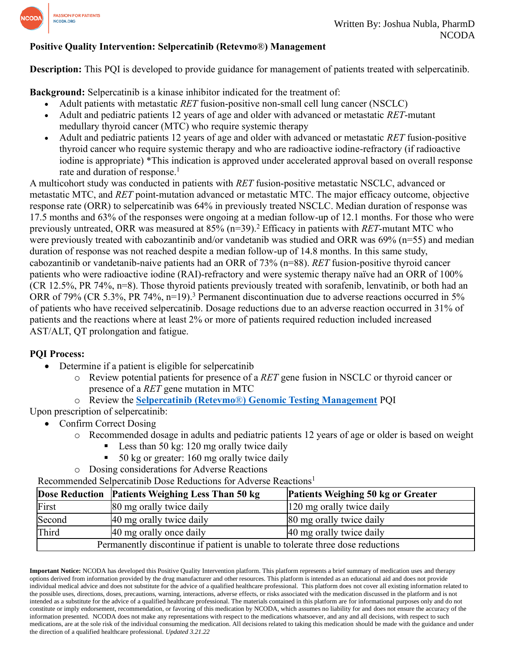

## **Positive Quality Intervention: Selpercatinib (Retevmo**®**) Management**

**Description:** This PQI is developed to provide guidance for management of patients treated with selpercatinib.

**Background:** Selpercatinib is a kinase inhibitor indicated for the treatment of:

- Adult patients with metastatic *RET* fusion-positive non-small cell lung cancer (NSCLC)
- Adult and pediatric patients 12 years of age and older with advanced or metastatic *RET*-mutant medullary thyroid cancer (MTC) who require systemic therapy
- Adult and pediatric patients 12 years of age and older with advanced or metastatic *RET* fusion-positive thyroid cancer who require systemic therapy and who are radioactive iodine-refractory (if radioactive iodine is appropriate) \*This indication is approved under accelerated approval based on overall response rate and duration of response. 1

A multicohort study was conducted in patients with *RET* fusion-positive metastatic NSCLC, advanced or metastatic MTC, and *RET* point-mutation advanced or metastatic MTC. The major efficacy outcome, objective response rate (ORR) to selpercatinib was 64% in previously treated NSCLC. Median duration of response was 17.5 months and 63% of the responses were ongoing at a median follow-up of 12.1 months. For those who were previously untreated, ORR was measured at 85% (n=39). <sup>2</sup> Efficacy in patients with *RET*-mutant MTC who were previously treated with cabozantinib and/or vandetanib was studied and ORR was 69% (n=55) and median duration of response was not reached despite a median follow-up of 14.8 months. In this same study, cabozantinib or vandetanib-naive patients had an ORR of 73% (n=88). *RET* fusion-positive thyroid cancer patients who were radioactive iodine (RAI)-refractory and were systemic therapy naïve had an ORR of 100% (CR 12.5%, PR 74%, n=8). Those thyroid patients previously treated with sorafenib, lenvatinib, or both had an ORR of 79% (CR 5.3%, PR 74%, n=19).<sup>3</sup> Permanent discontinuation due to adverse reactions occurred in 5% of patients who have received selpercatinib. Dosage reductions due to an adverse reaction occurred in 31% of patients and the reactions where at least 2% or more of patients required reduction included increased AST/ALT, QT prolongation and fatigue.

# **PQI Process:**

- Determine if a patient is eligible for selpercatinib
	- o Review potential patients for presence of a *RET* gene fusion in NSCLC or thyroid cancer or presence of a *RET* gene mutation in MTC
	- o Review the **Selpercatinib (Retevmo**®**[\) Genomic Testing Management](https://www.ncoda.org/wp-content/uploads/pqis/Selpercatinib-Retevmo-Genomic-Testing-Management_PQI_NCODA.pdf)** PQI

Upon prescription of selpercatinib:

- Confirm Correct Dosing
	- o Recommended dosage in adults and pediatric patients 12 years of age or older is based on weight
		- Less than 50 kg:  $120$  mg orally twice daily
		- 50 kg or greater: 160 mg orally twice daily
	- o Dosing considerations for Adverse Reactions

Recommended Selpercatinib Dose Reductions for Adverse Reactions<sup>1</sup>

|                                                                                | Dose Reduction Patients Weighing Less Than 50 kg | Patients Weighing 50 kg or Greater |  |
|--------------------------------------------------------------------------------|--------------------------------------------------|------------------------------------|--|
| First                                                                          | 80 mg orally twice daily                         | 120 mg orally twice daily          |  |
| Second                                                                         | 40 mg orally twice daily                         | 80 mg orally twice daily           |  |
| Third                                                                          | 40 mg orally once daily                          | 40 mg orally twice daily           |  |
| Permanently discontinue if patient is unable to tolerate three dose reductions |                                                  |                                    |  |

**Important Notice:** NCODA has developed this Positive Quality Intervention platform. This platform represents a brief summary of medication uses and therapy options derived from information provided by the drug manufacturer and other resources. This platform is intended as an educational aid and does not provide individual medical advice and does not substitute for the advice of a qualified healthcare professional. This platform does not cover all existing information related to the possible uses, directions, doses, precautions, warning, interactions, adverse effects, or risks associated with the medication discussed in the platform and is not intended as a substitute for the advice of a qualified healthcare professional. The materials contained in this platform are for informational purposes only and do not constitute or imply endorsement, recommendation, or favoring of this medication by NCODA, which assumes no liability for and does not ensure the accuracy of the information presented. NCODA does not make any representations with respect to the medications whatsoever, and any and all decisions, with respect to such medications, are at the sole risk of the individual consuming the medication. All decisions related to taking this medication should be made with the guidance and under the direction of a qualified healthcare professional. *Updated 3.21.22*